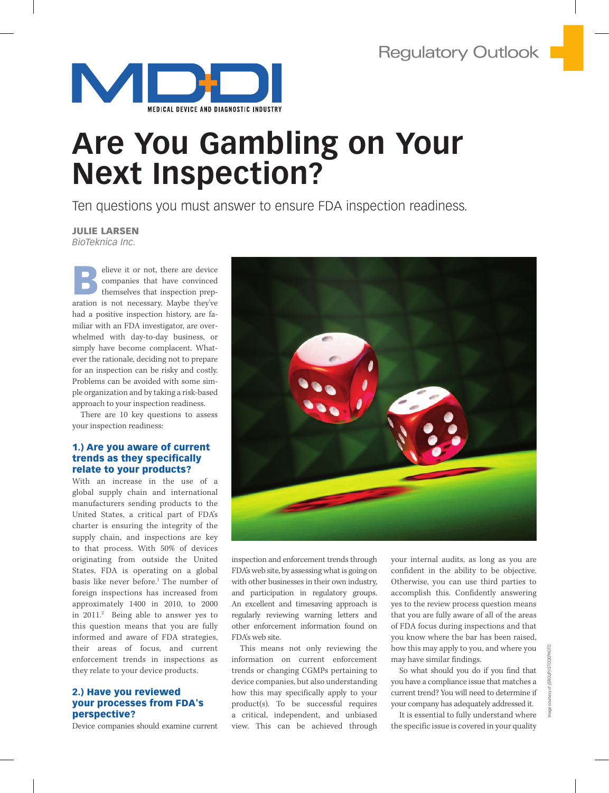

# **Are You Gambling on Your Next Inspection?**

Ten questions you must answer to ensure FDA inspection readiness.

Julie Larsen

*BioTeknica Inc.* 

elieve it or not, there are device<br>
companies that have convinced<br>
themselves that inspection preparation is not necessary. Maybe they've companies that have convinced themselves that inspection preparation is not necessary. Maybe they've had a positive inspection history, are familiar with an FDA investigator, are overwhelmed with day-to-day business, or simply have become complacent. Whatever the rationale, deciding not to prepare for an inspection can be risky and costly. Problems can be avoided with some simple organization and by taking a risk-based approach to your inspection readiness.

There are 10 key questions to assess your inspection readiness:

## 1.) Are you aware of current trends as they specifically relate to your products?

With an increase in the use of a global supply chain and international manufacturers sending products to the United States, a critical part of FDA's charter is ensuring the integrity of the supply chain, and inspections are key to that process. With 50% of devices originating from outside the United States, FDA is operating on a global basis like never before.<sup>1</sup> The number of foreign inspections has increased from approximately 1400 in 2010, to 2000 in 2011.2 Being able to answer yes to this question means that you are fully informed and aware of FDA strategies, their areas of focus, and current enforcement trends in inspections as they relate to your device products.

# 2.) Have you reviewed your processes from FDA's perspective?

Device companies should examine current



inspection and enforcement trends through FDA's web site, by assessing what is going on with other businesses in their own industry, and participation in regulatory groups. An excellent and timesaving approach is regularly reviewing warning letters and other enforcement information found on FDA's web site.

This means not only reviewing the information on current enforcement trends or changing CGMPs pertaining to device companies, but also understanding how this may specifically apply to your product(s). To be successful requires a critical, independent, and unbiased view. This can be achieved through your internal audits, as long as you are confident in the ability to be objective. Otherwise, you can use third parties to accomplish this. Confidently answering yes to the review process question means that you are fully aware of all of the areas of FDA focus during inspections and that you know where the bar has been raised, how this may apply to you, and where you may have similar findings.

So what should you do if you find that you have a compliance issue that matches a current trend? You will need to determine if your company has adequately addressed it.

It is essential to fully understand where the specific issue is covered in your quality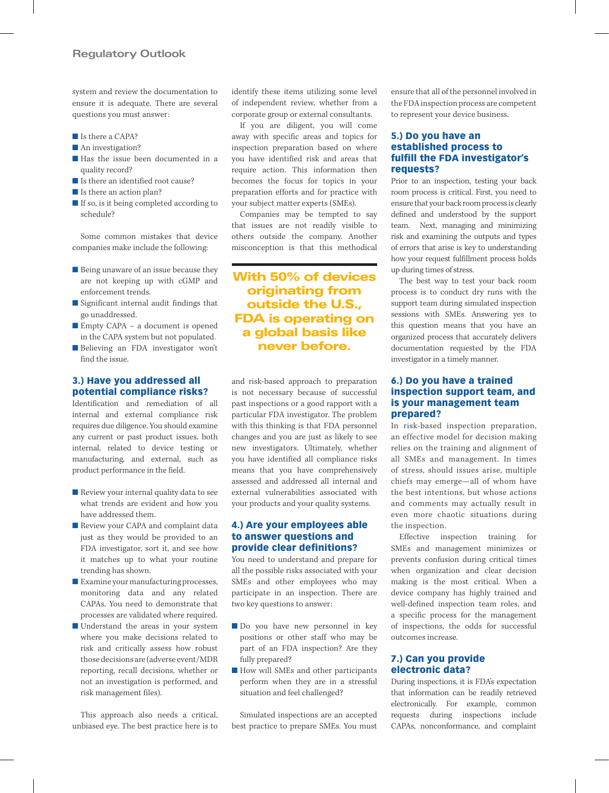system and review the documentation to ensure it is adequate. There are several questions you must answer:

- Is there a CAPA?
- An investigation?
- Has the issue been documented in a quality record?
- Is there an identified root cause?
- Is there an action plan?
- If so, is it being completed according to schedule?

Some common mistakes that device companies make include the following:

- Being unaware of an issue because they are not keeping up with cGMP and enforcement trends.
- Significant internal audit findings that go unaddressed.
- Empty CAPA a document is opened in the CAPA system but not populated.
- Believing an FDA investigator won't find the issue.

# 3.) Have you addressed all potential compliance risks?

Identification and remediation of all internal and external compliance risk requires due diligence. You should examine any current or past product issues, both internal, related to device testing or manufacturing, and external, such as product performance in the field.

- Review your internal quality data to see what trends are evident and how you have addressed them.
- Review your CAPA and complaint data just as they would be provided to an FDA investigator, sort it, and see how it matches up to what your routine trending has shown.
- Examine your manufacturing processes, monitoring data and any related CAPAs. You need to demonstrate that processes are validated where required.
- Understand the areas in your system where you make decisions related to risk and critically assess how robust those decisions are (adverse event/MDR reporting, recall decisions, whether or not an investigation is performed, and risk management files).

This approach also needs a critical, unbiased eye. The best practice here is to

identify these items utilizing some level of independent review, whether from a corporate group or external consultants.

If you are diligent, you will come away with specific areas and topics for inspection preparation based on where you have identified risk and areas that require action. This information then becomes the focus for topics in your preparation efforts and for practice with your subject matter experts (SMEs).

Companies may be tempted to say that issues are not readily visible to others outside the company. Another misconception is that this methodical

With 50% of devices originating from outside the U.S., FDA is operating on a global basis like never before.

and risk-based approach to preparation is not necessary because of successful past inspections or a good rapport with a particular FDA investigator. The problem with this thinking is that FDA personnel changes and you are just as likely to see new investigators. Ultimately, whether you have identified all compliance risks means that you have comprehensively assessed and addressed all internal and external vulnerabilities associated with your products and your quality systems.

## 4.) Are your employees able to answer questions and provide clear definitions?

You need to understand and prepare for all the possible risks associated with your SMEs and other employees who may participate in an inspection. There are two key questions to answer:

- Do you have new personnel in key positions or other staff who may be part of an FDA inspection? Are they fully prepared?
- How will SMEs and other participants perform when they are in a stressful situation and feel challenged?

Simulated inspections are an accepted best practice to prepare SMEs. You must

ensure that all of the personnel involved in the FDA inspection process are competent to represent your device business.

## 5.) Do you have an established process to fulfill the FDA investigator's requests?

Prior to an inspection, testing your back room process is critical. First, you need to ensure that your back room process is clearly defined and understood by the support team. Next, managing and minimizing risk and examining the outputs and types of errors that arise is key to understanding how your request fulfillment process holds up during times of stress.

The best way to test your back room process is to conduct dry runs with the support team during simulated inspection sessions with SMEs. Answering yes to this question means that you have an organized process that accurately delivers documentation requested by the FDA investigator in a timely manner.

# 6.) Do you have a trained inspection support team, and is your management team prepared?

In risk-based inspection preparation, an effective model for decision making relies on the training and alignment of all SMEs and management. In times of stress, should issues arise, multiple chiefs may emerge—all of whom have the best intentions, but whose actions and comments may actually result in even more chaotic situations during the inspection.

Effective inspection training for SMEs and management minimizes or prevents confusion during critical times when organization and clear decision making is the most critical. When a device company has highly trained and well-defined inspection team roles, and a specific process for the management of inspections, the odds for successful outcomes increase.

### 7.) Can you provide electronic data?

During inspections, it is FDA's expectation that information can be readily retrieved electronically. For example, common requests during inspections include CAPAs, nonconformance, and complaint